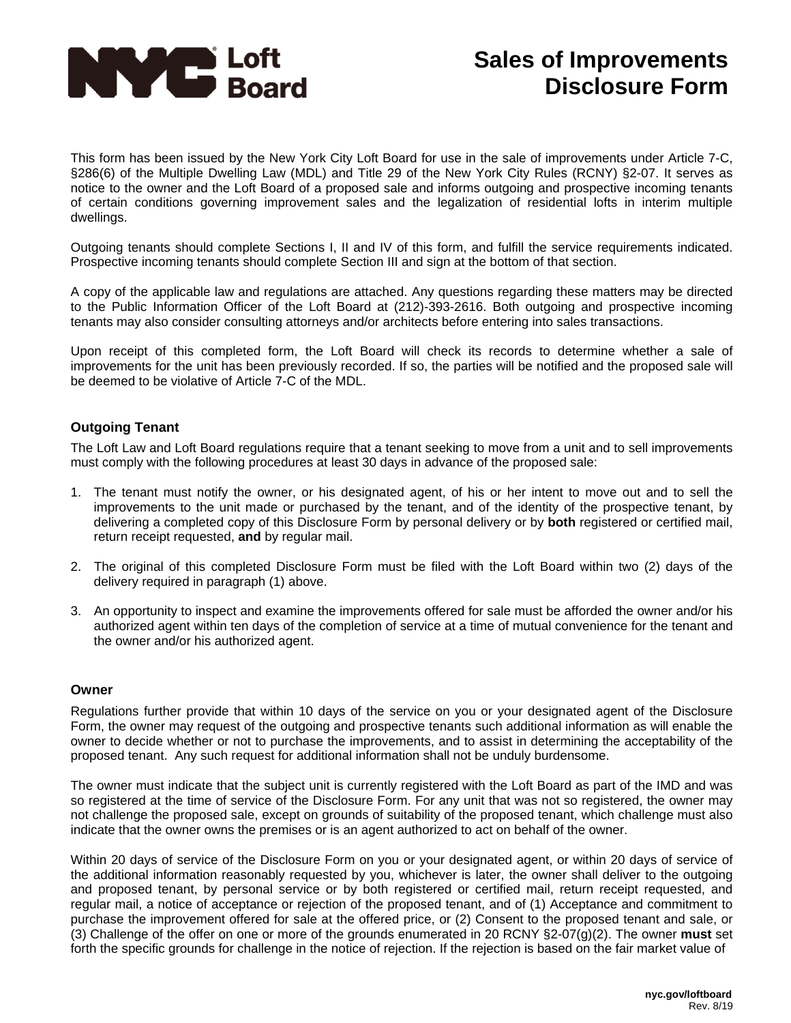

This form has been issued by the New York City Loft Board for use in the sale of improvements under Article 7-C, §286(6) of the Multiple Dwelling Law (MDL) and Title 29 of the New York City Rules (RCNY) §2-07. It serves as notice to the owner and the Loft Board of a proposed sale and informs outgoing and prospective incoming tenants of certain conditions governing improvement sales and the legalization of residential lofts in interim multiple dwellings.

Outgoing tenants should complete Sections I, II and IV of this form, and fulfill the service requirements indicated. Prospective incoming tenants should complete Section III and sign at the bottom of that section.

A copy of the applicable law and regulations are attached. Any questions regarding these matters may be directed to the Public Information Officer of the Loft Board at (212)-393-2616. Both outgoing and prospective incoming tenants may also consider consulting attorneys and/or architects before entering into sales transactions.

Upon receipt of this completed form, the Loft Board will check its records to determine whether a sale of improvements for the unit has been previously recorded. If so, the parties will be notified and the proposed sale will be deemed to be violative of Article 7-C of the MDL.

### **Outgoing Tenant**

The Loft Law and Loft Board regulations require that a tenant seeking to move from a unit and to sell improvements must comply with the following procedures at least 30 days in advance of the proposed sale:

- 1. The tenant must notify the owner, or his designated agent, of his or her intent to move out and to sell the improvements to the unit made or purchased by the tenant, and of the identity of the prospective tenant, by delivering a completed copy of this Disclosure Form by personal delivery or by **both** registered or certified mail, return receipt requested, **and** by regular mail.
- 2. The original of this completed Disclosure Form must be filed with the Loft Board within two (2) days of the delivery required in paragraph (1) above.
- 3. An opportunity to inspect and examine the improvements offered for sale must be afforded the owner and/or his authorized agent within ten days of the completion of service at a time of mutual convenience for the tenant and the owner and/or his authorized agent.

#### **Owner**

Regulations further provide that within 10 days of the service on you or your designated agent of the Disclosure Form, the owner may request of the outgoing and prospective tenants such additional information as will enable the owner to decide whether or not to purchase the improvements, and to assist in determining the acceptability of the proposed tenant. Any such request for additional information shall not be unduly burdensome.

The owner must indicate that the subject unit is currently registered with the Loft Board as part of the IMD and was so registered at the time of service of the Disclosure Form. For any unit that was not so registered, the owner may not challenge the proposed sale, except on grounds of suitability of the proposed tenant, which challenge must also indicate that the owner owns the premises or is an agent authorized to act on behalf of the owner.

Within 20 days of service of the Disclosure Form on you or your designated agent, or within 20 days of service of the additional information reasonably requested by you, whichever is later, the owner shall deliver to the outgoing and proposed tenant, by personal service or by both registered or certified mail, return receipt requested, and regular mail, a notice of acceptance or rejection of the proposed tenant, and of (1) Acceptance and commitment to purchase the improvement offered for sale at the offered price, or (2) Consent to the proposed tenant and sale, or (3) Challenge of the offer on one or more of the grounds enumerated in 20 RCNY §2-07(g)(2). The owner **must** set forth the specific grounds for challenge in the notice of rejection. If the rejection is based on the fair market value of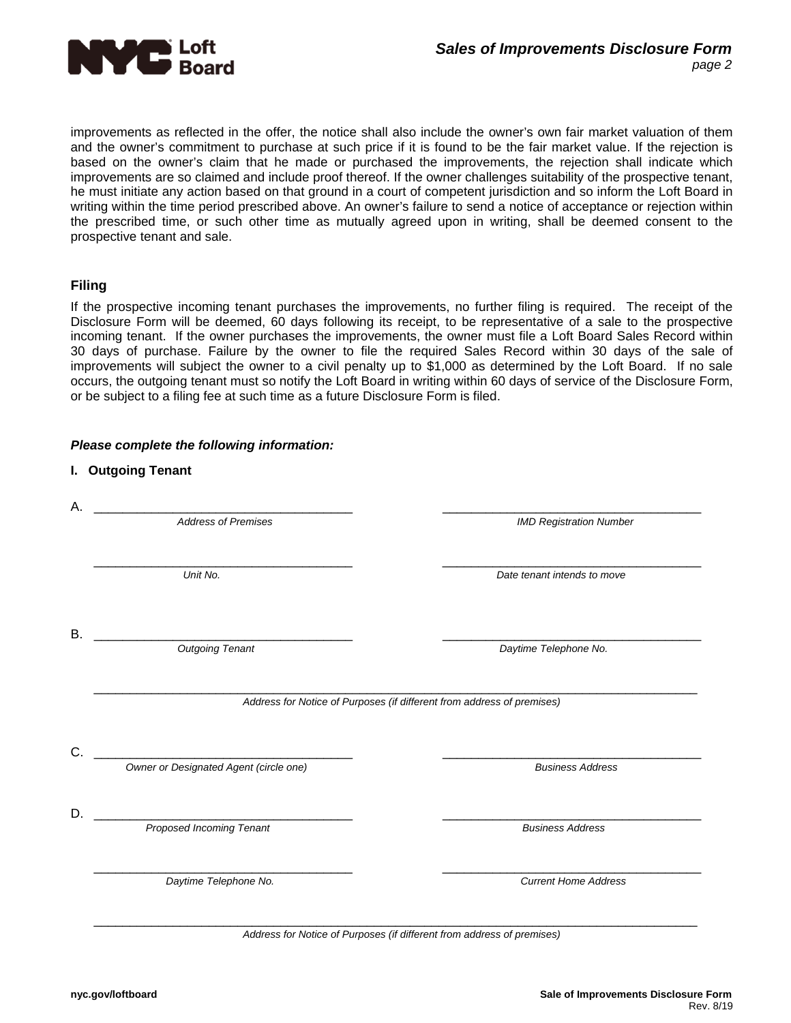

improvements as reflected in the offer, the notice shall also include the owner's own fair market valuation of them and the owner's commitment to purchase at such price if it is found to be the fair market value. If the rejection is based on the owner's claim that he made or purchased the improvements, the rejection shall indicate which improvements are so claimed and include proof thereof. If the owner challenges suitability of the prospective tenant, he must initiate any action based on that ground in a court of competent jurisdiction and so inform the Loft Board in writing within the time period prescribed above. An owner's failure to send a notice of acceptance or rejection within the prescribed time, or such other time as mutually agreed upon in writing, shall be deemed consent to the prospective tenant and sale.

## **Filing**

If the prospective incoming tenant purchases the improvements, no further filing is required. The receipt of the Disclosure Form will be deemed, 60 days following its receipt, to be representative of a sale to the prospective incoming tenant. If the owner purchases the improvements, the owner must file a Loft Board Sales Record within 30 days of purchase. Failure by the owner to file the required Sales Record within 30 days of the sale of improvements will subject the owner to a civil penalty up to \$1,000 as determined by the Loft Board. If no sale occurs, the outgoing tenant must so notify the Loft Board in writing within 60 days of service of the Disclosure Form, or be subject to a filing fee at such time as a future Disclosure Form is filed.

| I. Outgoing Tenant                     |                                                                        |
|----------------------------------------|------------------------------------------------------------------------|
|                                        |                                                                        |
| <b>Address of Premises</b>             | <b>IMD Registration Number</b>                                         |
| Unit No.                               | Date tenant intends to move                                            |
|                                        |                                                                        |
| <b>Outgoing Tenant</b>                 | Daytime Telephone No.                                                  |
|                                        | Address for Notice of Purposes (if different from address of premises) |
|                                        |                                                                        |
| Owner or Designated Agent (circle one) | <b>Business Address</b>                                                |
| Proposed Incoming Tenant               | <b>Business Address</b>                                                |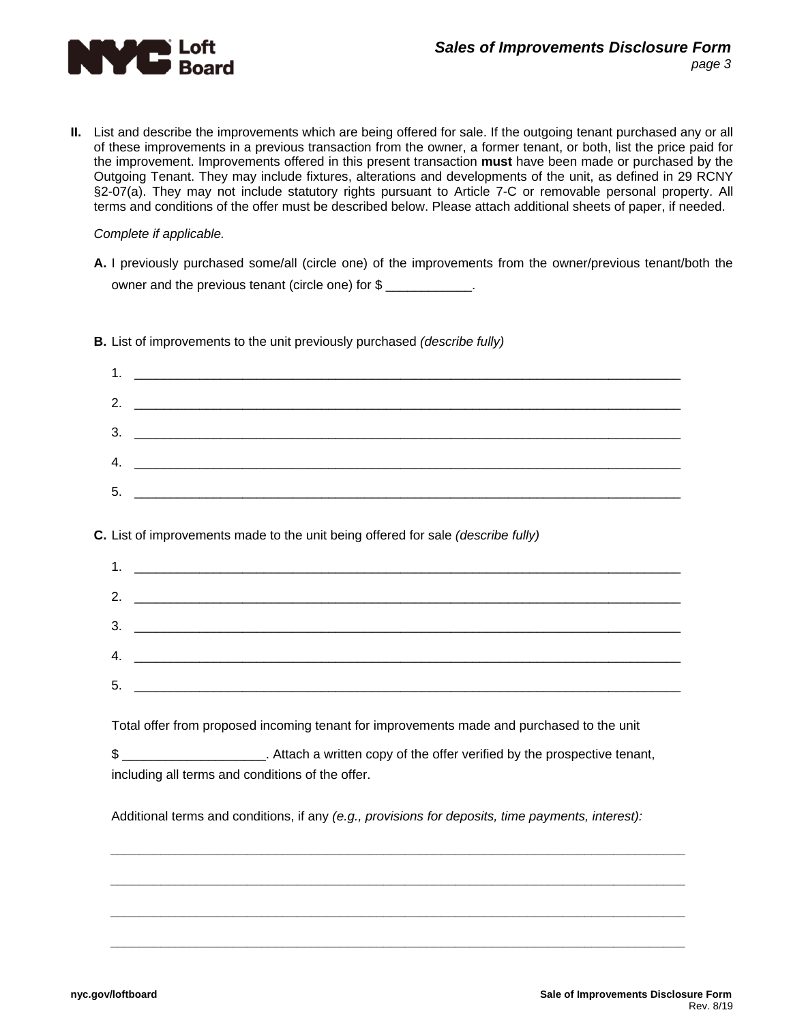

**II.** List and describe the improvements which are being offered for sale. If the outgoing tenant purchased any or all of these improvements in a previous transaction from the owner, a former tenant, or both, list the price paid for the improvement. Improvements offered in this present transaction **must** have been made or purchased by the Outgoing Tenant. They may include fixtures, alterations and developments of the unit, as defined in 29 RCNY §2-07(a). They may not include statutory rights pursuant to Article 7-C or removable personal property. All terms and conditions of the offer must be described below. Please attach additional sheets of paper, if needed.

#### *Complete if applicable.*

- **A.** I previously purchased some/all (circle one) of the improvements from the owner/previous tenant/both the owner and the previous tenant (circle one) for \$
	- 1. \_\_\_\_\_\_\_\_\_\_\_\_\_\_\_\_\_\_\_\_\_\_\_\_\_\_\_\_\_\_\_\_\_\_\_\_\_\_\_\_\_\_\_\_\_\_\_\_\_\_\_\_\_\_\_\_\_\_\_\_\_\_\_\_\_\_\_\_\_\_\_\_\_\_\_\_ 2.  $\blacksquare$  $3.$  $4.$ 5. \_\_\_\_\_\_\_\_\_\_\_\_\_\_\_\_\_\_\_\_\_\_\_\_\_\_\_\_\_\_\_\_\_\_\_\_\_\_\_\_\_\_\_\_\_\_\_\_\_\_\_\_\_\_\_\_\_\_\_\_\_\_\_\_\_\_\_\_\_\_\_\_\_\_\_\_

**B.** List of improvements to the unit previously purchased *(describe fully)*

#### **C.** List of improvements made to the unit being offered for sale *(describe fully)*

| 1. |  |
|----|--|
|    |  |
|    |  |
|    |  |
|    |  |
| 5. |  |

Total offer from proposed incoming tenant for improvements made and purchased to the unit

\$ \$ 2000 Attach a written copy of the offer verified by the prospective tenant, including all terms and conditions of the offer.

Additional terms and conditions, if any *(e.g., provisions for deposits, time payments, interest):* 

*\_\_\_\_\_\_\_\_\_\_\_\_\_\_\_\_\_\_\_\_\_\_\_\_\_\_\_\_\_\_\_\_\_\_\_\_\_\_\_\_\_\_\_\_\_\_\_\_\_\_\_\_\_\_\_\_\_\_\_\_\_\_\_\_\_\_\_\_\_\_\_\_\_\_\_\_\_\_\_\_*

*\_\_\_\_\_\_\_\_\_\_\_\_\_\_\_\_\_\_\_\_\_\_\_\_\_\_\_\_\_\_\_\_\_\_\_\_\_\_\_\_\_\_\_\_\_\_\_\_\_\_\_\_\_\_\_\_\_\_\_\_\_\_\_\_\_\_\_\_\_\_\_\_\_\_\_\_\_\_\_\_*

*\_\_\_\_\_\_\_\_\_\_\_\_\_\_\_\_\_\_\_\_\_\_\_\_\_\_\_\_\_\_\_\_\_\_\_\_\_\_\_\_\_\_\_\_\_\_\_\_\_\_\_\_\_\_\_\_\_\_\_\_\_\_\_\_\_\_\_\_\_\_\_\_\_\_\_\_\_\_\_\_*

*\_\_\_\_\_\_\_\_\_\_\_\_\_\_\_\_\_\_\_\_\_\_\_\_\_\_\_\_\_\_\_\_\_\_\_\_\_\_\_\_\_\_\_\_\_\_\_\_\_\_\_\_\_\_\_\_\_\_\_\_\_\_\_\_\_\_\_\_\_\_\_\_\_\_\_\_\_\_\_\_*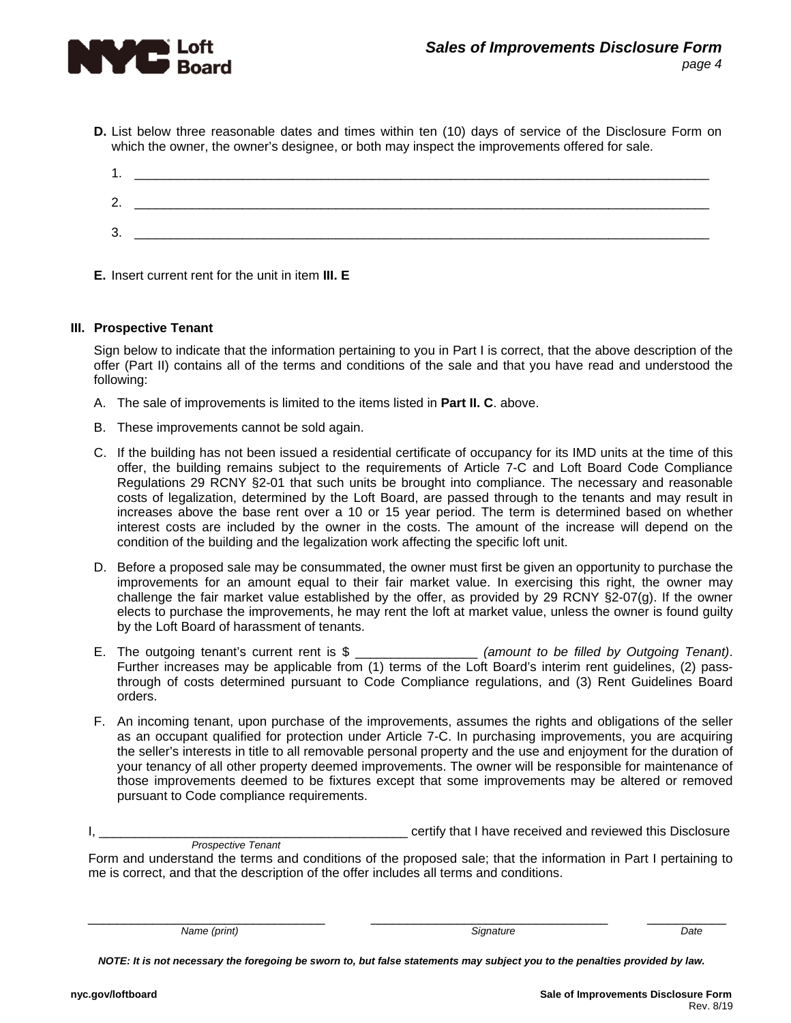

**D.** List below three reasonable dates and times within ten (10) days of service of the Disclosure Form on which the owner, the owner's designee, or both may inspect the improvements offered for sale.

| າ<br><u>.</u> |  |
|---------------|--|
| ◠<br>ີ        |  |

**E.** Insert current rent for the unit in item **III. E**

#### **III. Prospective Tenant**

Sign below to indicate that the information pertaining to you in Part I is correct, that the above description of the offer (Part II) contains all of the terms and conditions of the sale and that you have read and understood the following:

- A. The sale of improvements is limited to the items listed in **Part II. C**. above.
- B. These improvements cannot be sold again.
- C. If the building has not been issued a residential certificate of occupancy for its IMD units at the time of this offer, the building remains subject to the requirements of Article 7-C and Loft Board Code Compliance Regulations 29 RCNY §2-01 that such units be brought into compliance. The necessary and reasonable costs of legalization, determined by the Loft Board, are passed through to the tenants and may result in increases above the base rent over a 10 or 15 year period. The term is determined based on whether interest costs are included by the owner in the costs. The amount of the increase will depend on the condition of the building and the legalization work affecting the specific loft unit.
- D. Before a proposed sale may be consummated, the owner must first be given an opportunity to purchase the improvements for an amount equal to their fair market value. In exercising this right, the owner may challenge the fair market value established by the offer, as provided by 29 RCNY §2-07(g). If the owner elects to purchase the improvements, he may rent the loft at market value, unless the owner is found guilty by the Loft Board of harassment of tenants.
- E. The outgoing tenant's current rent is \$ \_\_\_\_\_\_\_\_\_\_\_\_\_\_\_\_\_ *(amount to be filled by Outgoing Tenant)*. Further increases may be applicable from (1) terms of the Loft Board's interim rent guidelines, (2) passthrough of costs determined pursuant to Code Compliance regulations, and (3) Rent Guidelines Board orders.
- F. An incoming tenant, upon purchase of the improvements, assumes the rights and obligations of the seller as an occupant qualified for protection under Article 7-C. In purchasing improvements, you are acquiring the seller's interests in title to all removable personal property and the use and enjoyment for the duration of your tenancy of all other property deemed improvements. The owner will be responsible for maintenance of those improvements deemed to be fixtures except that some improvements may be altered or removed pursuant to Code compliance requirements.

I, \_\_\_\_\_\_\_\_\_\_\_\_\_\_\_\_\_\_\_\_\_\_\_\_\_\_\_\_\_\_\_\_\_\_\_\_\_\_\_\_\_\_\_ certify that I have received and reviewed this Disclosure

\_\_\_\_\_\_\_\_\_\_\_\_\_\_\_\_\_\_\_\_\_\_\_\_\_\_\_\_\_\_\_\_\_ \_\_\_\_\_\_\_\_\_\_\_\_\_\_\_\_\_\_\_\_\_\_\_\_\_\_\_\_\_\_\_\_\_ \_\_\_\_\_\_\_\_\_\_\_

*NOTE: It is not necessary the foregoing be sworn to, but false statements may subject you to the penalties provided by law.* 

*Prospective Tenant*  Form and understand the terms and conditions of the proposed sale; that the information in Part I pertaining to me is correct, and that the description of the offer includes all terms and conditions.